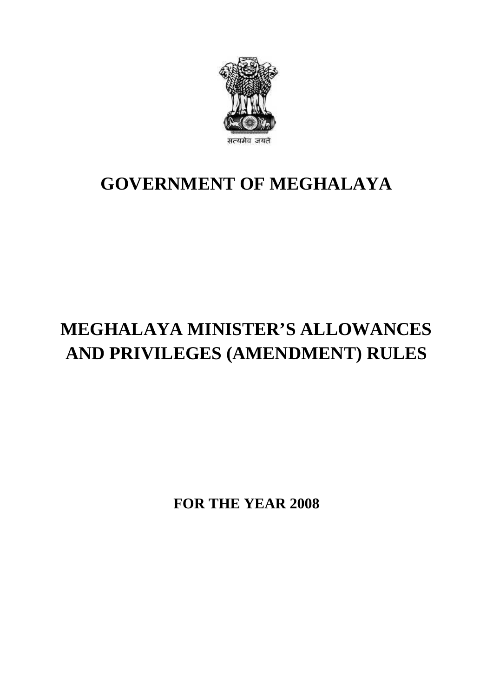

## **GOVERNMENT OF MEGHALAYA**

## **MEGHALAYA MINISTER'S ALLOWANCES AND PRIVILEGES (AMENDMENT) RULES**

**FOR THE YEAR 2008**